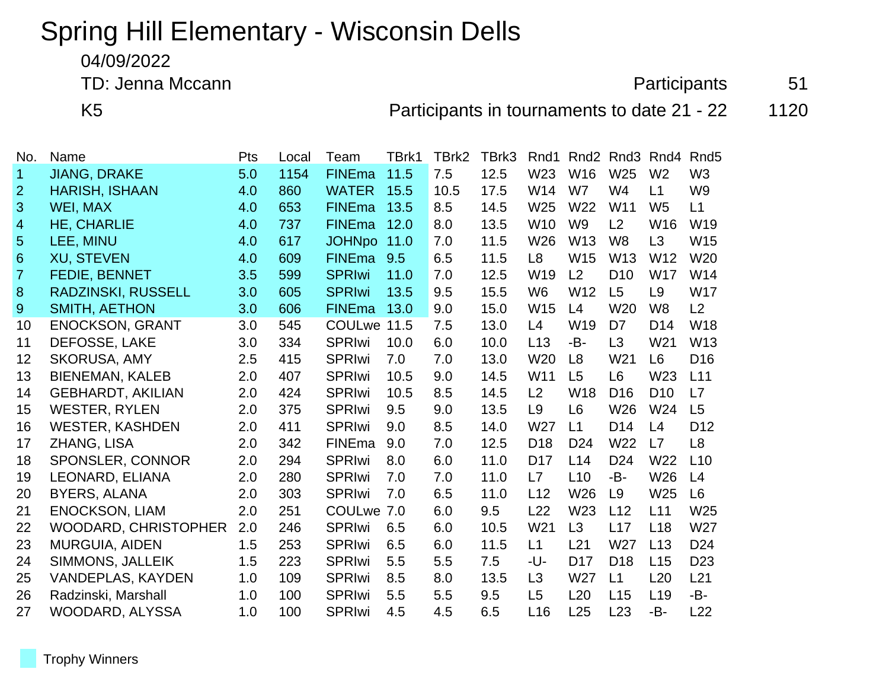## Spring Hill Elementary - Wisconsin Dells

04/09/2022

TD: Jenna Mccann **Participants** 51

K5 **Participants in tournaments to date 21 - 22** 1120

| No.             | Name                        | Pts | Local | Team          | TBrk1 | TBrk2 | TBrk3 | Rnd1            | Rnd <sub>2</sub> | Rnd3            | Rnd4            | Rnd <sub>5</sub> |
|-----------------|-----------------------------|-----|-------|---------------|-------|-------|-------|-----------------|------------------|-----------------|-----------------|------------------|
| 1               | <b>JIANG, DRAKE</b>         | 5.0 | 1154  | <b>FINEma</b> | 11.5  | 7.5   | 12.5  | W23             | W16              | W25             | W <sub>2</sub>  | W <sub>3</sub>   |
| $\overline{2}$  | <b>HARISH, ISHAAN</b>       | 4.0 | 860   | <b>WATER</b>  | 15.5  | 10.5  | 17.5  | W14             | W7               | W4              | L1              | W <sub>9</sub>   |
| 3               | WEI, MAX                    | 4.0 | 653   | <b>FINEma</b> | 13.5  | 8.5   | 14.5  | W <sub>25</sub> | W <sub>22</sub>  | W11             | W <sub>5</sub>  | L1               |
| 4               | <b>HE, CHARLIE</b>          | 4.0 | 737   | <b>FINEma</b> | 12.0  | 8.0   | 13.5  | W <sub>10</sub> | W <sub>9</sub>   | L2              | W16             | W19              |
| 5               | LEE, MINU                   | 4.0 | 617   | JOHNpo 11.0   |       | 7.0   | 11.5  | W26             | W13              | W <sub>8</sub>  | L <sub>3</sub>  | W15              |
| $6\phantom{1}6$ | <b>XU, STEVEN</b>           | 4.0 | 609   | <b>FINEma</b> | 9.5   | 6.5   | 11.5  | L <sub>8</sub>  | W15              | W <sub>13</sub> | W12             | W <sub>20</sub>  |
| 7               | <b>FEDIE, BENNET</b>        | 3.5 | 599   | <b>SPRIwi</b> | 11.0  | 7.0   | 12.5  | W19             | L <sub>2</sub>   | D <sub>10</sub> | <b>W17</b>      | W14              |
| 8               | <b>RADZINSKI, RUSSELL</b>   | 3.0 | 605   | <b>SPRIwi</b> | 13.5  | 9.5   | 15.5  | W <sub>6</sub>  | W <sub>12</sub>  | L5              | L <sub>9</sub>  | <b>W17</b>       |
| 9               | <b>SMITH, AETHON</b>        | 3.0 | 606   | <b>FINEma</b> | 13.0  | 9.0   | 15.0  | W15             | L4               | W <sub>20</sub> | W <sub>8</sub>  | L2               |
| 10              | <b>ENOCKSON, GRANT</b>      | 3.0 | 545   | <b>COULwe</b> | 11.5  | 7.5   | 13.0  | L4              | W19              | D7              | D <sub>14</sub> | <b>W18</b>       |
| 11              | DEFOSSE, LAKE               | 3.0 | 334   | <b>SPRIwi</b> | 10.0  | 6.0   | 10.0  | L13             | -B-              | L3              | W <sub>21</sub> | W13              |
| 12              | <b>SKORUSA, AMY</b>         | 2.5 | 415   | <b>SPRIwi</b> | 7.0   | 7.0   | 13.0  | W <sub>20</sub> | L <sub>8</sub>   | W <sub>21</sub> | L <sub>6</sub>  | D <sub>16</sub>  |
| 13              | <b>BIENEMAN, KALEB</b>      | 2.0 | 407   | <b>SPRIwi</b> | 10.5  | 9.0   | 14.5  | W11             | L <sub>5</sub>   | L <sub>6</sub>  | W23             | L11              |
| 14              | <b>GEBHARDT, AKILIAN</b>    | 2.0 | 424   | <b>SPRIwi</b> | 10.5  | 8.5   | 14.5  | L2              | W18              | D <sub>16</sub> | D <sub>10</sub> | L7               |
| 15              | <b>WESTER, RYLEN</b>        | 2.0 | 375   | <b>SPRIwi</b> | 9.5   | 9.0   | 13.5  | L <sub>9</sub>  | L <sub>6</sub>   | W26             | W24             | L5               |
| 16              | <b>WESTER, KASHDEN</b>      | 2.0 | 411   | <b>SPRIwi</b> | 9.0   | 8.5   | 14.0  | W27             | L1               | D <sub>14</sub> | L4              | D <sub>12</sub>  |
| 17              | ZHANG, LISA                 | 2.0 | 342   | <b>FINEma</b> | 9.0   | 7.0   | 12.5  | D <sub>18</sub> | D <sub>24</sub>  | W <sub>22</sub> | L7              | L <sub>8</sub>   |
| 18              | SPONSLER, CONNOR            | 2.0 | 294   | <b>SPRIwi</b> | 8.0   | 6.0   | 11.0  | D <sub>17</sub> | L14              | D <sub>24</sub> | W22             | L10              |
| 19              | LEONARD, ELIANA             | 2.0 | 280   | <b>SPRIwi</b> | 7.0   | 7.0   | 11.0  | L7              | L10              | -B-             | W26             | L4               |
| 20              | <b>BYERS, ALANA</b>         | 2.0 | 303   | <b>SPRIwi</b> | 7.0   | 6.5   | 11.0  | L12             | W <sub>26</sub>  | L <sub>9</sub>  | W <sub>25</sub> | L6               |
| 21              | <b>ENOCKSON, LIAM</b>       | 2.0 | 251   | COULwe 7.0    |       | 6.0   | 9.5   | L22             | W23              | L12             | L11             | W25              |
| 22              | <b>WOODARD, CHRISTOPHER</b> | 2.0 | 246   | <b>SPRIwi</b> | 6.5   | 6.0   | 10.5  | W <sub>21</sub> | L3               | L17             | L <sub>18</sub> | W27              |
| 23              | MURGUIA, AIDEN              | 1.5 | 253   | <b>SPRIwi</b> | 6.5   | 6.0   | 11.5  | L1              | L21              | W27             | L13             | D <sub>24</sub>  |
| 24              | SIMMONS, JALLEIK            | 1.5 | 223   | <b>SPRIwi</b> | 5.5   | 5.5   | 7.5   | -U-             | D <sub>17</sub>  | D <sub>18</sub> | L15             | D <sub>23</sub>  |
| 25              | <b>VANDEPLAS, KAYDEN</b>    | 1.0 | 109   | <b>SPRIwi</b> | 8.5   | 8.0   | 13.5  | L3              | W27              | L1              | L20             | L21              |
| 26              | Radzinski, Marshall         | 1.0 | 100   | <b>SPRIwi</b> | 5.5   | 5.5   | 9.5   | L <sub>5</sub>  | L20              | L15             | L <sub>19</sub> | -B-              |
| 27              | WOODARD, ALYSSA             | 1.0 | 100   | <b>SPRIwi</b> | 4.5   | 4.5   | 6.5   | L16             | L25              | L23             | -B-             | L22              |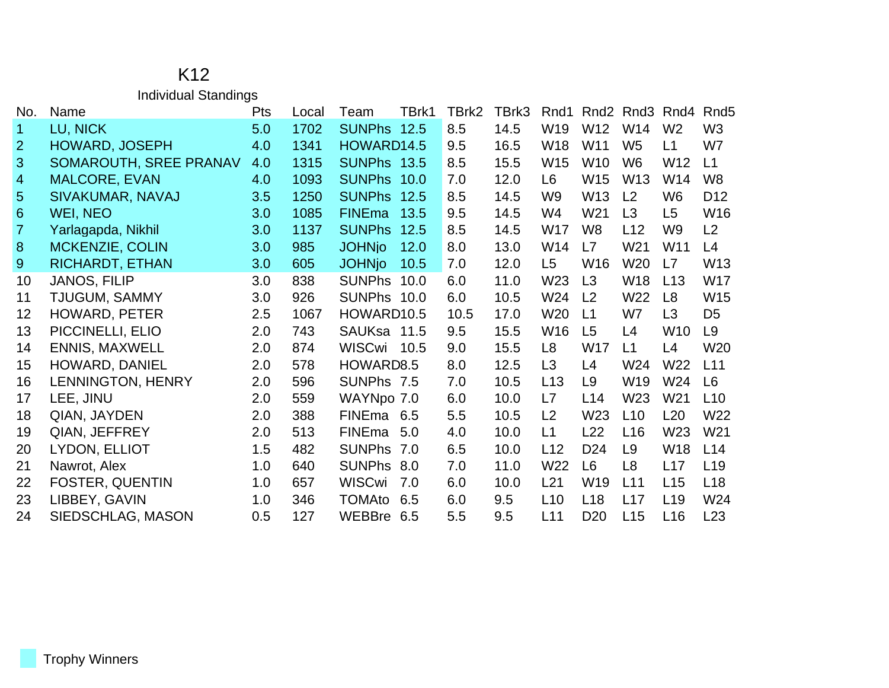## K12 Individual Standings

| No.            | Name                   | <b>Pts</b> | Local | Team               | TBrk1 | TBrk2 | TBrk3 | Rnd1           |                 | Rnd <sub>2</sub> Rnd <sub>3</sub> | Rnd4            | Rnd <sub>5</sub> |
|----------------|------------------------|------------|-------|--------------------|-------|-------|-------|----------------|-----------------|-----------------------------------|-----------------|------------------|
| 1              | LU, NICK               | 5.0        | 1702  | SUNPhs 12.5        |       | 8.5   | 14.5  | W19            | W12             | W14                               | W <sub>2</sub>  | W <sub>3</sub>   |
| $\overline{2}$ | <b>HOWARD, JOSEPH</b>  | 4.0        | 1341  | HOWARD14.5         |       | 9.5   | 16.5  | W18            | W11             | W <sub>5</sub>                    | L1              | W7               |
| 3              | SOMAROUTH, SREE PRANAV | 4.0        | 1315  | <b>SUNPhs 13.5</b> |       | 8.5   | 15.5  | W15            | W10             | W <sub>6</sub>                    | W12             | L1               |
| 4              | <b>MALCORE, EVAN</b>   | 4.0        | 1093  | SUNPhs 10.0        |       | 7.0   | 12.0  | L6             | W <sub>15</sub> | W <sub>13</sub>                   | W14             | W <sub>8</sub>   |
| 5              | SIVAKUMAR, NAVAJ       | 3.5        | 1250  | SUNPhs 12.5        |       | 8.5   | 14.5  | W <sub>9</sub> | W <sub>13</sub> | L <sub>2</sub>                    | W <sub>6</sub>  | D <sub>12</sub>  |
| 6              | WEI, NEO               | 3.0        | 1085  | <b>FINEma</b>      | 13.5  | 9.5   | 14.5  | W4             | W21             | L3                                | L5              | W16              |
| $\overline{7}$ | Yarlagapda, Nikhil     | 3.0        | 1137  | <b>SUNPhs</b>      | 12.5  | 8.5   | 14.5  | W17            | W <sub>8</sub>  | L12                               | W9              | L2               |
| 8              | <b>MCKENZIE, COLIN</b> | 3.0        | 985   | <b>JOHNjo</b>      | 12.0  | 8.0   | 13.0  | W14            | L7              | W21                               | W11             | L4               |
| 9              | <b>RICHARDT, ETHAN</b> | 3.0        | 605   | <b>JOHNjo</b>      | 10.5  | 7.0   | 12.0  | L5             | W16             | W <sub>20</sub>                   | L7              | W13              |
| 10             | <b>JANOS, FILIP</b>    | 3.0        | 838   | <b>SUNPhs</b>      | 10.0  | 6.0   | 11.0  | W23            | L3              | <b>W18</b>                        | L13             | W17              |
| 11             | TJUGUM, SAMMY          | 3.0        | 926   | SUNPhs 10.0        |       | 6.0   | 10.5  | W24            | L <sub>2</sub>  | W22                               | L <sub>8</sub>  | W15              |
| 12             | <b>HOWARD, PETER</b>   | 2.5        | 1067  | HOWARD10.5         |       | 10.5  | 17.0  | W20            | L1              | W7                                | L3              | D5               |
| 13             | PICCINELLI, ELIO       | 2.0        | 743   | SAUKsa 11.5        |       | 9.5   | 15.5  | W16            | L5              | L4                                | W10             | L <sub>9</sub>   |
| 14             | <b>ENNIS, MAXWELL</b>  | 2.0        | 874   | <b>WISCwi</b>      | 10.5  | 9.0   | 15.5  | L <sub>8</sub> | W17             | L1                                | L4              | W20              |
| 15             | HOWARD, DANIEL         | 2.0        | 578   | HOWARD8.5          |       | 8.0   | 12.5  | L3             | L4              | W24                               | W22             | L11              |
| 16             | LENNINGTON, HENRY      | 2.0        | 596   | SUNPhs 7.5         |       | 7.0   | 10.5  | L13            | L9              | W19                               | W24             | L <sub>6</sub>   |
| 17             | LEE, JINU              | 2.0        | 559   | WAYNpo 7.0         |       | 6.0   | 10.0  | L7             | L14             | W <sub>23</sub>                   | W21             | L10              |
| 18             | QIAN, JAYDEN           | 2.0        | 388   | FINEma 6.5         |       | 5.5   | 10.5  | L2             | W <sub>23</sub> | L10                               | L20             | W22              |
| 19             | QIAN, JEFFREY          | 2.0        | 513   | FINEma             | 5.0   | 4.0   | 10.0  | L1             | L22             | L16                               | W23             | W21              |
| 20             | LYDON, ELLIOT          | 1.5        | 482   | <b>SUNPhs</b>      | 7.0   | 6.5   | 10.0  | L12            | D <sub>24</sub> | L9                                | W18             | L14              |
| 21             | Nawrot, Alex           | 1.0        | 640   | <b>SUNPhs</b>      | 8.0   | 7.0   | 11.0  | W22            | L <sub>6</sub>  | L8                                | L17             | L <sub>19</sub>  |
| 22             | <b>FOSTER, QUENTIN</b> | 1.0        | 657   | <b>WISCwi</b>      | 7.0   | 6.0   | 10.0  | L21            | W19             | L11                               | L15             | L <sub>18</sub>  |
| 23             | LIBBEY, GAVIN          | 1.0        | 346   | <b>TOMAto</b>      | 6.5   | 6.0   | 9.5   | L10            | L18             | L17                               | L <sub>19</sub> | W24              |
| 24             | SIEDSCHLAG, MASON      | 0.5        | 127   | WEBBre             | 6.5   | 5.5   | 9.5   | L11            | D <sub>20</sub> | L15                               | L16             | L23              |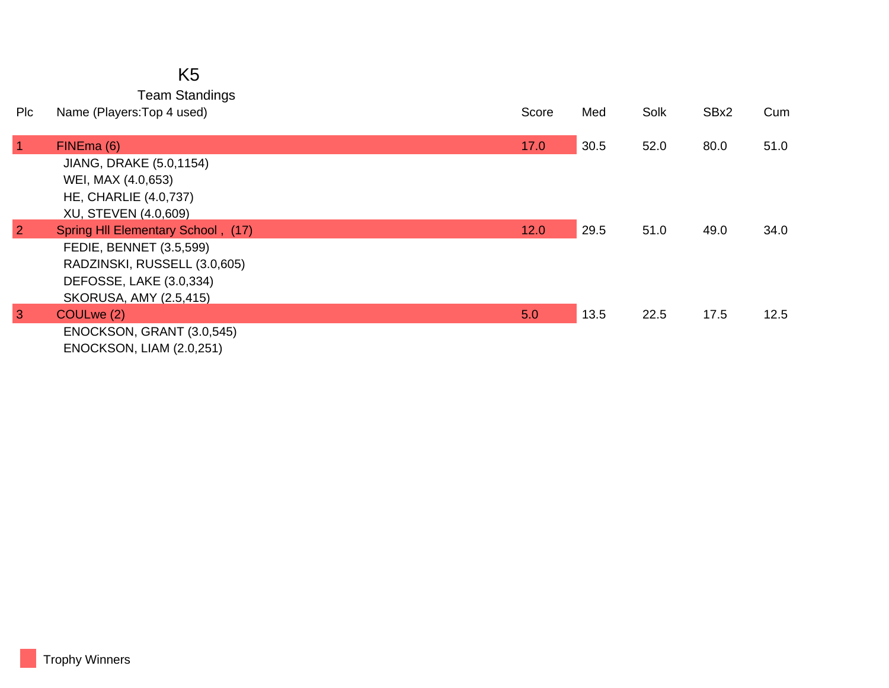## K5

Team Standings

| Pic            | Name (Players: Top 4 used)         | Score | Med  | Solk | SBx2 | Cum  |
|----------------|------------------------------------|-------|------|------|------|------|
|                |                                    |       |      |      |      |      |
| $\vert$ 1      | FINEma (6)                         | 17.0  | 30.5 | 52.0 | 80.0 | 51.0 |
|                | JIANG, DRAKE (5.0,1154)            |       |      |      |      |      |
|                | WEI, MAX (4.0,653)                 |       |      |      |      |      |
|                | <b>HE, CHARLIE (4.0,737)</b>       |       |      |      |      |      |
|                | XU, STEVEN (4.0,609)               |       |      |      |      |      |
| $\overline{2}$ | Spring HII Elementary School, (17) | 12.0  | 29.5 | 51.0 | 49.0 | 34.0 |
|                | FEDIE, BENNET (3.5,599)            |       |      |      |      |      |
|                | RADZINSKI, RUSSELL (3.0,605)       |       |      |      |      |      |
|                | DEFOSSE, LAKE (3.0,334)            |       |      |      |      |      |
|                | <b>SKORUSA, AMY (2.5,415)</b>      |       |      |      |      |      |
| $\overline{3}$ | COULwe (2)                         | 5.0   | 13.5 | 22.5 | 17.5 | 12.5 |
|                | ENOCKSON, GRANT (3.0,545)          |       |      |      |      |      |
|                | <b>ENOCKSON, LIAM (2.0,251)</b>    |       |      |      |      |      |